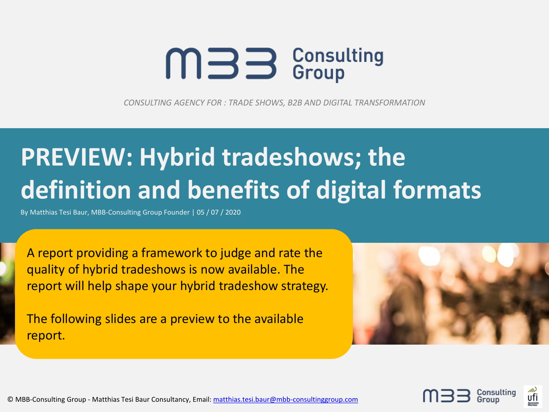# $mB$  S Consulting

*CONSULTING AGENCY FOR : TRADE SHOWS, B2B AND DIGITAL TRANSFORMATION*

# **PREVIEW: Hybrid tradeshows; the definition and benefits of digital formats**

By Matthias Tesi Baur, MBB-Consulting Group Founder | 05 / 07 / 2020

A report providing a framework to judge and rate the quality of hybrid tradeshows is now available. The report will help shape your hybrid tradeshow strategy.

The following slides are a preview to the available report.



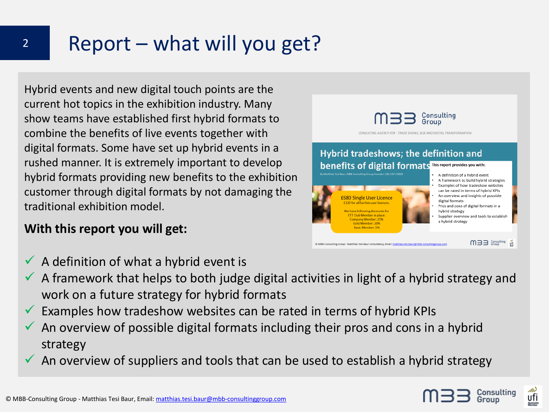# 2 Report – what will you get?

Hybrid events and new digital touch points are the current hot topics in the exhibition industry. Many show teams have established first hybrid formats to combine the benefits of live events together with digital formats. Some have set up hybrid events in a rushed manner. It is extremely important to develop hybrid formats providing new benefits to the exhibition customer through digital formats by not damaging the traditional exhibition model.

#### **With this report you will get:**

 $\checkmark$  A definition of what a hybrid event is

© MBB-Consulting Group - Matthias Tesi Baur, Email: [matthias.tesi.baur@mbb-consultinggroup.com](mailto:Matthias.tesi.baur@mbb-consultinggroup.com)

- $\checkmark$  A framework that helps to both judge digital activities in light of a hybrid strategy and work on a future strategy for hybrid formats
- Examples how tradeshow websites can be rated in terms of hybrid KPIs
- An overview of possible digital formats including their pros and cons in a hybrid strategy
- An overview of suppliers and tools that can be used to establish a hybrid strategy



Consulting Group

> A definition of a hybrid event A framework to build hybrid strategies Examples of how tradeshow websites can be rated in terms of hybrid KPIs An overview and insights of possible

Pros and cons of digital formats in a

Supplier overview and tools to establish

 $m \equiv 3$  Consulting  $\frac{m}{\sqrt{11}}$ 

digital formats

hybrid strategy

a hybrid strategy

CONSULTING AGENCY FOR : TRADE SHOWS, B2B AND DIGITAL TRANSFORMATION

Hybrid tradeshows; the definition and **benefits of digital formats** This report provides you with:

i Baur, MBB-Consulting Group Founder | 05 / 07 / 2020

**£680 Single User Licence** 



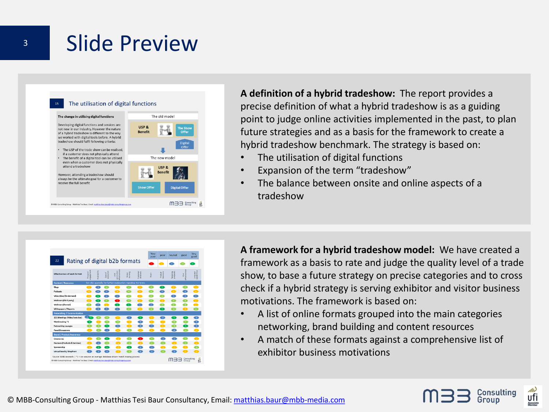### **3** Slide Preview



**A definition of a hybrid tradeshow:** The report provides a precise definition of what a hybrid tradeshow is as a guiding point to judge online activities implemented in the past, to plan future strategies and as a basis for the framework to create a hybrid tradeshow benchmark. The strategy is based on:

- The utilisation of digital functions
- Expansion of the term "tradeshow"
- The balance between onsite and online aspects of a tradeshow



**A framework for a hybrid tradeshow model:** We have created a framework as a basis to rate and judge the quality level of a trade show, to base a future strategy on precise categories and to cross check if a hybrid strategy is serving exhibitor and visitor business motivations. The framework is based on:

- A list of online formats grouped into the main categories networking, brand building and content resources
- A match of these formats against a comprehensive list of exhibitor business motivations

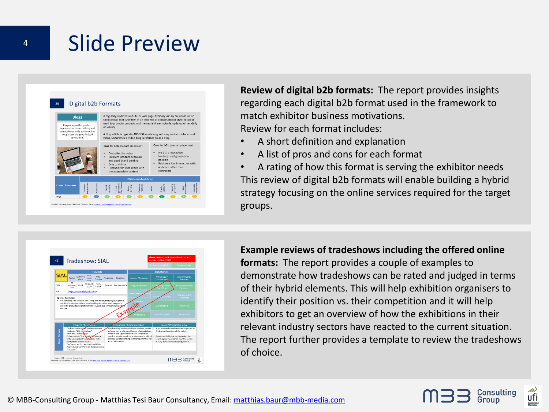### 4 Slide Preview

|                                                                                                  | ٠ | Pros for b2b product placement<br>Cost-effective setup<br>Excellent product exposure<br>and good brand building<br>Easy to deliver<br>Potential for wide reach with<br>the appropriate content |  |  |                                                                                                                                        | No 1-2-1 interaction<br>No deep lead generation<br>٠<br>possible<br>Relatively low interaction with<br>audience other than<br>comments |                                |  |  |  |
|--------------------------------------------------------------------------------------------------|---|------------------------------------------------------------------------------------------------------------------------------------------------------------------------------------------------|--|--|----------------------------------------------------------------------------------------------------------------------------------------|----------------------------------------------------------------------------------------------------------------------------------------|--------------------------------|--|--|--|
|                                                                                                  |   |                                                                                                                                                                                                |  |  |                                                                                                                                        |                                                                                                                                        |                                |  |  |  |
|                                                                                                  |   |                                                                                                                                                                                                |  |  |                                                                                                                                        |                                                                                                                                        | Cons for b2b product placement |  |  |  |
| not particularly good for lead<br>generation.                                                    |   |                                                                                                                                                                                                |  |  | A blog article is typically 400-500 words long and may contain pictures and<br>video. Sometimes a Video Blog is referred to as a Vlog. |                                                                                                                                        |                                |  |  |  |
| Blogs are good for product<br>exposure and brand building and<br>can address a wide audience but |   | used to promote products and themes and are typically updated either daily,<br>or weekly.                                                                                                      |  |  |                                                                                                                                        |                                                                                                                                        |                                |  |  |  |
| <b>Blogs</b>                                                                                     |   | A regularly updated website or web page, typically run by an individual or<br>small group, that is written in an informal or conversational style. It can be                                   |  |  |                                                                                                                                        |                                                                                                                                        |                                |  |  |  |

**Review of digital b2b formats:** The report provides insights regarding each digital b2b format used in the framework to match exhibitor business motivations. Review for each format includes:

- A short definition and explanation
- A list of pros and cons for each format
- A rating of how this format is serving the exhibitor needs This review of digital b2b formats will enable building a hybrid strategy focusing on the online services required for the target groups.



**Example reviews of tradeshows including the offered online formats:** The report provides a couple of examples to demonstrate how tradeshows can be rated and judged in terms of their hybrid elements. This will help exhibition organisers to identify their position vs. their competition and it will help exhibitors to get an overview of how the exhibitions in their relevant industry sectors have reacted to the current situation. The report further provides a template to review the tradeshows of choice.



onsulting ufi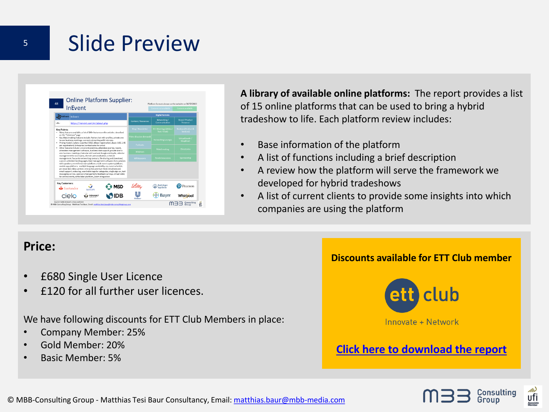### <sup>5</sup> Slide Preview

|                                                                                                                                                                                                                                                                            | <b>InFvent</b>                                                                                                                                                                                                  |                                                           |                                                                                                                                                                                                                                                                                                                                                                                        |                                       | Content not available           | Content available                  |  |  |
|----------------------------------------------------------------------------------------------------------------------------------------------------------------------------------------------------------------------------------------------------------------------------|-----------------------------------------------------------------------------------------------------------------------------------------------------------------------------------------------------------------|-----------------------------------------------------------|----------------------------------------------------------------------------------------------------------------------------------------------------------------------------------------------------------------------------------------------------------------------------------------------------------------------------------------------------------------------------------------|---------------------------------------|---------------------------------|------------------------------------|--|--|
| InEvent InEvent                                                                                                                                                                                                                                                            |                                                                                                                                                                                                                 |                                                           |                                                                                                                                                                                                                                                                                                                                                                                        |                                       | <b>Digital formats</b>          |                                    |  |  |
| URL-                                                                                                                                                                                                                                                                       |                                                                                                                                                                                                                 | https://inevent.com/en/about.php                          |                                                                                                                                                                                                                                                                                                                                                                                        | Content / Resources                   | Networking/<br>Communication    | <b>Reand / Product</b><br>Presence |  |  |
| <b>Key Points:</b><br>. Many features available: a list of 100+ features on the website, described<br>on the "Solutions" page<br>. Key Matchmaking features include: Native chat with profiles, private one<br>to one business meetings, connect networking with interests |                                                                                                                                                                                                                 |                                                           | <b>Blog/Newsletter</b>                                                                                                                                                                                                                                                                                                                                                                 | 121 Meetings (Video /<br>Text / Chat) | Reviews (Product &<br>Services) |                                    |  |  |
|                                                                                                                                                                                                                                                                            |                                                                                                                                                                                                                 |                                                           | Video (Live/on-demand                                                                                                                                                                                                                                                                                                                                                                  | Networking Lounges                    | Virtual booth /<br>Shoofront    |                                    |  |  |
|                                                                                                                                                                                                                                                                            |                                                                                                                                                                                                                 | per registration). Enterprise (contact sales for price)   | · Pricing model: 3 plans: Essential (US\$1.60 per registration), Basic (US\$ 2.40                                                                                                                                                                                                                                                                                                      | Podcasts                              |                                 |                                    |  |  |
| . Other features include: Live event analytics, attendees journey report.<br>attendees management software, business chat support, private one to<br>one business meetings. Calendar with outlook Google and Apple, calendar                                               |                                                                                                                                                                                                                 |                                                           | Webinars                                                                                                                                                                                                                                                                                                                                                                               | Matchmaking                           | <b>Directories</b>              |                                    |  |  |
|                                                                                                                                                                                                                                                                            | management for a company, domain personalisation, schedule<br>management. favourite networking contacts, file sharing and download.<br>custom unlimited landing pages, lead management software, live questions |                                                           |                                                                                                                                                                                                                                                                                                                                                                                        | Whitepapers                           | <b>Panel discussions</b>        | Sponsorship                        |  |  |
|                                                                                                                                                                                                                                                                            |                                                                                                                                                                                                                 | for online events, white label platform. Zoom integration | with speakers, event livestream platform, multi events system platform.<br>mobile app platform, multiple language availability, my event schedule,<br>pre recorded video content, interactive premium feed, telephone and<br>email support, notes log, searchable tags for categories, single sign on, text<br>messaging service, sponsors management, feedback surveys, virtual lobby |                                       |                                 |                                    |  |  |
|                                                                                                                                                                                                                                                                            |                                                                                                                                                                                                                 |                                                           | <b>MSD</b>                                                                                                                                                                                                                                                                                                                                                                             |                                       | Boehringer<br>Ingelbrim         | Pearson                            |  |  |
| Key Customers:                                                                                                                                                                                                                                                             | Santander                                                                                                                                                                                                       | SANOFI                                                    |                                                                                                                                                                                                                                                                                                                                                                                        |                                       |                                 |                                    |  |  |

**A library of available online platforms:** The report provides a list of 15 online platforms that can be used to bring a hybrid tradeshow to life. Each platform review includes:

- Base information of the platform
- A list of functions including a brief description
- A review how the platform will serve the framework we developed for hybrid tradeshows
- A list of current clients to provide some insights into which companies are using the platform

#### **Price:**

- £680 Single User Licence
- £120 for all further user licences.

We have following discounts for ETT Club Members in place:

- Company Member: 25%
- Gold Member: 20%
- Basic Member: 5%

#### **Discounts available for ETT Club member**



#### **[Click here to download the report](https://www.exhibitionthinktank.com/hybrid-tradeshows-the-definition-and-benefits-of-digital-formats-report/)**

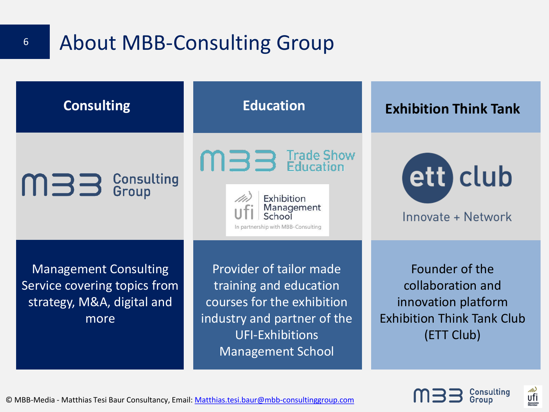

Consulting

ufi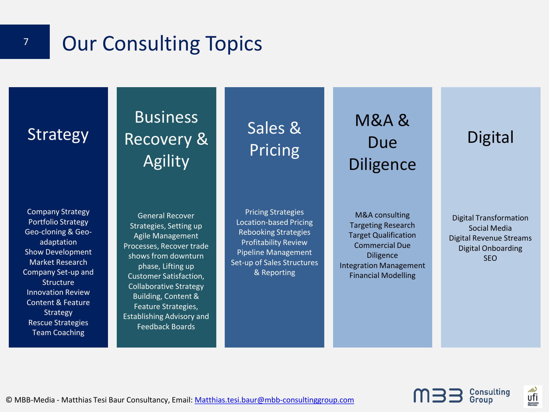### **7 Our Consulting Topics**

### **Strategy**

Company Strategy Portfolio Strategy Geo-cloning & Geoadaptation Show Development Market Research Company Set-up and **Structure** Innovation Review Content & Feature **Strategy** Rescue Strategies Team Coaching

### Business Recovery & Agility

General Recover Strategies, Setting up Agile Management Processes, Recover trade shows from downturn phase, Lifting up Customer Satisfaction, Collaborative Strategy Building, Content & Feature Strategies, Establishing Advisory and Feedback Boards

Sales & Pricing

Pricing Strategies Location-based Pricing Rebooking Strategies Profitability Review Pipeline Management Set-up of Sales Structures & Reporting

M&A & Due Diligence

M&A consulting Targeting Research Target Qualification Commercial Due Diligence Integration Management Financial Modelling

### **Digital**

Digital Transformation Social Media Digital Revenue Streams Digital Onboarding SEO

**Consulting**<br>Group

∕<br>∪fi

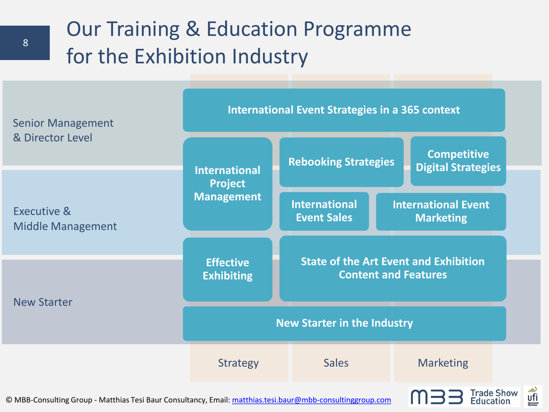# Our Training & Education Programme for the Exhibition Industry



© MBB-Consulting Group - Matthias Tesi Baur Consultancy, Email: [matthias.tesi.baur@mbb-consultinggroup.com](mailto:matthias.tesi.baur@mbb-consultinggroup.com)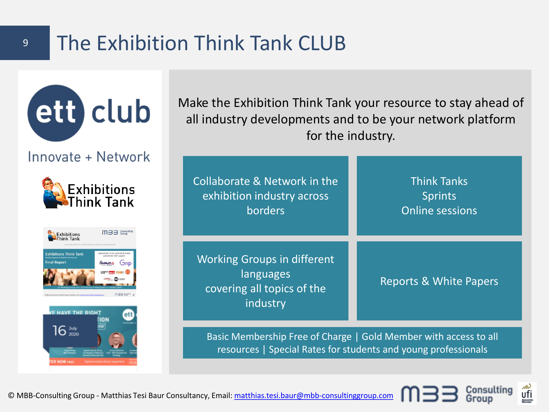### <sup>9</sup> The Exhibition Think Tank CLUB



Consulting

Group

ufi